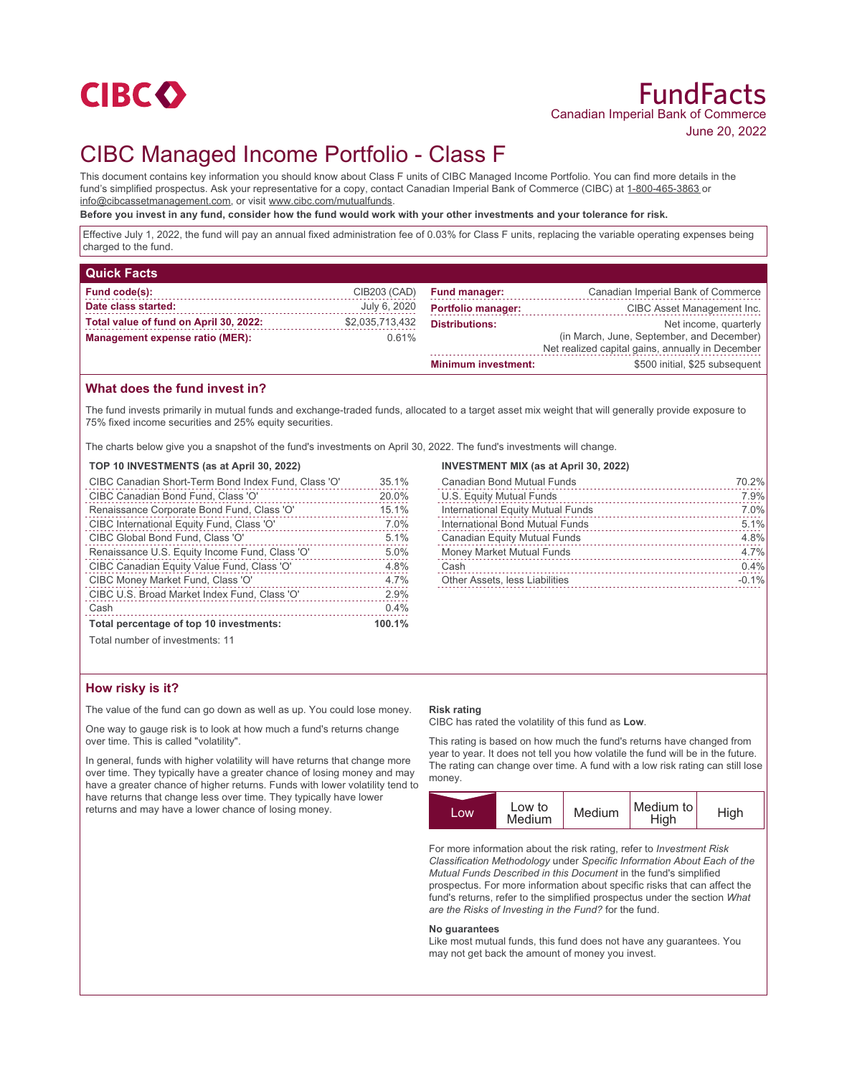

# CIBC Managed Income Portfolio - Class F

This document contains key information you should know about Class F units of CIBC Managed Income Portfolio. You can find more details in the fund's simplified prospectus. Ask your representative for a copy, contact Canadian Imperial Bank of Commerce (CIBC) at 1-800-465-3863 or info@cibcassetmanagement.com, or visit www.cibc.com/mutualfunds.

**Before you invest in any fund, consider how the fund would work with your other investments and your tolerance for risk.**

Effective July 1, 2022, the fund will pay an annual fixed administration fee of 0.03% for Class F units, replacing the variable operating expenses being charged to the fund.

| <b>Quick Facts</b>                     |                 |                            |                                                                                               |
|----------------------------------------|-----------------|----------------------------|-----------------------------------------------------------------------------------------------|
| Fund code(s):                          | CIB203 (CAD)    | <b>Fund manager:</b>       | Canadian Imperial Bank of Commerce                                                            |
| Date class started:                    | July 6, 2020    | <b>Portfolio manager:</b>  | CIBC Asset Management Inc.                                                                    |
| Total value of fund on April 30, 2022: | \$2,035,713,432 | <b>Distributions:</b>      | Net income, quarterly                                                                         |
| Management expense ratio (MER):        | 0.61%           |                            | (in March, June, September, and December)<br>Net realized capital gains, annually in December |
|                                        |                 | <b>Minimum investment:</b> | \$500 initial, \$25 subsequent                                                                |

## **What does the fund invest in?**

The fund invests primarily in mutual funds and exchange-traded funds, allocated to a target asset mix weight that will generally provide exposure to 75% fixed income securities and 25% equity securities.

The charts below give you a snapshot of the fund's investments on April 30, 2022. The fund's investments will change.

#### **TOP 10 INVESTMENTS (as at April 30, 2022)**

| CIBC Canadian Short-Term Bond Index Fund, Class 'O' | 35.1%  |
|-----------------------------------------------------|--------|
| CIBC Canadian Bond Fund, Class 'O'                  | 20.0%  |
| Renaissance Corporate Bond Fund, Class 'O'          | 15.1%  |
| CIBC International Equity Fund, Class 'O'           | 7.0%   |
| CIBC Global Bond Fund, Class 'O'                    | 5.1%   |
| Renaissance U.S. Equity Income Fund, Class 'O'      | 5.0%   |
| CIBC Canadian Equity Value Fund, Class 'O'          | 4.8%   |
| CIBC Money Market Fund, Class 'O'                   | 4.7%   |
| CIBC U.S. Broad Market Index Fund, Class 'O'        | 2.9%   |
| Cash                                                | 0.4%   |
| Total percentage of top 10 investments:             | 100.1% |
| Total number of investments: 11                     |        |

## **INVESTMENT MIX (as at April 30, 2022)**

| 70.2%   |
|---------|
| 7.9%    |
| 7.0%    |
| 5.1%    |
| 4.8%    |
| 4.7%    |
| 0.4%    |
| $-0.1%$ |
|         |

## **How risky is it?**

The value of the fund can go down as well as up. You could lose money.

One way to gauge risk is to look at how much a fund's returns change over time. This is called "volatility".

In general, funds with higher volatility will have returns that change more over time. They typically have a greater chance of losing money and may have a greater chance of higher returns. Funds with lower volatility tend to have returns that change less over time. They typically have lower returns and may have a lower chance of losing money.

#### **Risk rating**

CIBC has rated the volatility of this fund as **Low**.

This rating is based on how much the fund's returns have changed from year to year. It does not tell you how volatile the fund will be in the future. The rating can change over time. A fund with a low risk rating can still lose money.



For more information about the risk rating, refer to *Investment Risk Classification Methodology* under *Specific Information About Each of the Mutual Funds Described in this Document* in the fund's simplified prospectus. For more information about specific risks that can affect the fund's returns, refer to the simplified prospectus under the section *What are the Risks of Investing in the Fund?* for the fund.

#### **No guarantees**

Like most mutual funds, this fund does not have any guarantees. You may not get back the amount of money you invest.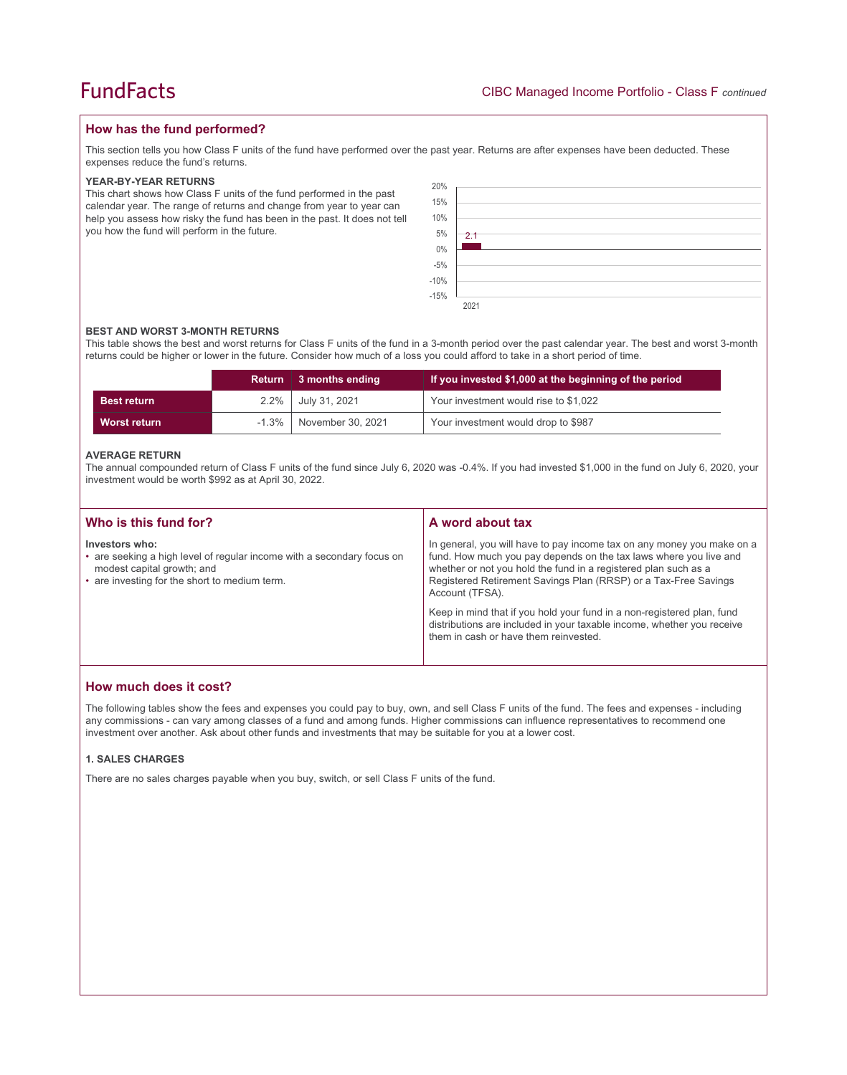## **How has the fund performed?**

This section tells you how Class F units of the fund have performed over the past year. Returns are after expenses have been deducted. These expenses reduce the fund's returns.

### **YEAR-BY-YEAR RETURNS**

This chart shows how Class F units of the fund performed in the past calendar year. The range of returns and change from year to year can help you assess how risky the fund has been in the past. It does not tell you how the fund will perform in the future.

| 20%               |      |
|-------------------|------|
| 15%               |      |
| 10%               |      |
| $5\%$             | 2.1  |
| $0\%$             |      |
| $-5\%$<br>$-10\%$ |      |
|                   |      |
| $-15%$            |      |
|                   | 2021 |

#### **BEST AND WORST 3-MONTH RETURNS**

This table shows the best and worst returns for Class F units of the fund in a 3-month period over the past calendar year. The best and worst 3-month returns could be higher or lower in the future. Consider how much of a loss you could afford to take in a short period of time.

|                    | <b>Return</b> | 3 months ending   | If you invested \$1,000 at the beginning of the period |
|--------------------|---------------|-------------------|--------------------------------------------------------|
| <b>Best return</b> | $2.2\%$       | July 31, 2021     | Your investment would rise to \$1,022                  |
| Worst return       | $-1.3\%$      | November 30, 2021 | Your investment would drop to \$987                    |

#### **AVERAGE RETURN**

The annual compounded return of Class F units of the fund since July 6, 2020 was -0.4%. If you had invested \$1,000 in the fund on July 6, 2020, your investment would be worth \$992 as at April 30, 2022.

| Who is this fund for?                                                                                                                                                   | A word about tax                                                                                                                                                                                                                                                                                     |  |
|-------------------------------------------------------------------------------------------------------------------------------------------------------------------------|------------------------------------------------------------------------------------------------------------------------------------------------------------------------------------------------------------------------------------------------------------------------------------------------------|--|
| Investors who:<br>• are seeking a high level of regular income with a secondary focus on<br>modest capital growth; and<br>• are investing for the short to medium term. | In general, you will have to pay income tax on any money you make on a<br>fund. How much you pay depends on the tax laws where you live and<br>whether or not you hold the fund in a registered plan such as a<br>Registered Retirement Savings Plan (RRSP) or a Tax-Free Savings<br>Account (TFSA). |  |
|                                                                                                                                                                         | Keep in mind that if you hold your fund in a non-registered plan, fund<br>distributions are included in your taxable income, whether you receive<br>them in cash or have them reinvested.                                                                                                            |  |

## **How much does it cost?**

The following tables show the fees and expenses you could pay to buy, own, and sell Class F units of the fund. The fees and expenses - including any commissions - can vary among classes of a fund and among funds. Higher commissions can influence representatives to recommend one investment over another. Ask about other funds and investments that may be suitable for you at a lower cost.

### **1. SALES CHARGES**

There are no sales charges payable when you buy, switch, or sell Class F units of the fund.